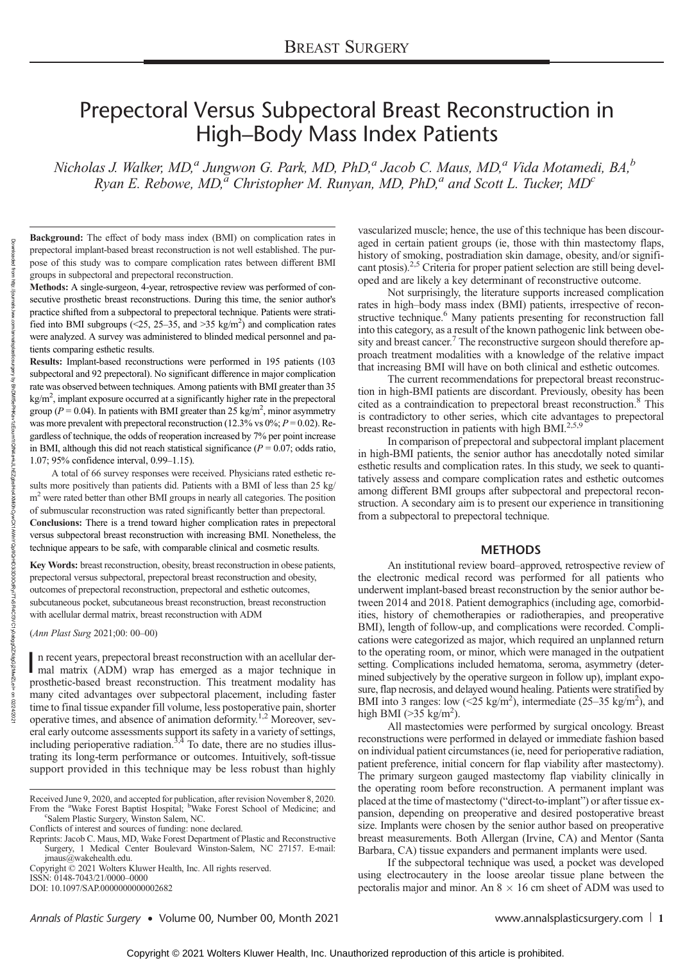# Prepectoral Versus Subpectoral Breast Reconstruction in High–Body Mass Index Patients

Nicholas J. Walker, MD,<sup>a</sup> Jungwon G. Park, MD, PhD,<sup>a</sup> Jacob C. Maus, MD,<sup>a</sup> Vida Motamedi, BA,<sup>b</sup> Ryan E. Rebowe, MD,<sup>a</sup> Christopher M. Runyan, MD, PhD,<sup>a</sup> and Scott L. Tucker, MD<sup>c</sup>

Background: The effect of body mass index (BMI) on complication rates in prepectoral implant-based breast reconstruction is not well established. The purpose of this study was to compare complication rates between different BMI groups in subpectoral and prepectoral reconstruction.

Methods: A single-surgeon, 4-year, retrospective review was performed of consecutive prosthetic breast reconstructions. During this time, the senior author's practice shifted from a subpectoral to prepectoral technique. Patients were stratified into BMI subgroups (<25, 25–35, and >35 kg/m<sup>2</sup>) and complication rates were analyzed. A survey was administered to blinded medical personnel and patients comparing esthetic results.

Results: Implant-based reconstructions were performed in 195 patients (103 subpectoral and 92 prepectoral). No significant difference in major complication rate was observed between techniques. Among patients with BMI greater than 35  $kg/m<sup>2</sup>$ , implant exposure occurred at a significantly higher rate in the prepectoral group ( $P = 0.04$ ). In patients with BMI greater than 25 kg/m<sup>2</sup>, minor asymmetry was more prevalent with prepectoral reconstruction (12.3% vs  $0\%$ ;  $P = 0.02$ ). Regardless of technique, the odds of reoperation increased by 7% per point increase in BMI, although this did not reach statistical significance ( $P = 0.07$ ; odds ratio, 1.07; 95% confidence interval, 0.99–1.15).

A total of 66 survey responses were received. Physicians rated esthetic results more positively than patients did. Patients with a BMI of less than 25 kg/  $m<sup>2</sup>$  were rated better than other BMI groups in nearly all categories. The position of submuscular reconstruction was rated significantly better than prepectoral. Conclusions: There is a trend toward higher complication rates in prepectoral versus subpectoral breast reconstruction with increasing BMI. Nonetheless, the technique appears to be safe, with comparable clinical and cosmetic results.

Key Words: breast reconstruction, obesity, breast reconstruction in obese patients, prepectoral versus subpectoral, prepectoral breast reconstruction and obesity, outcomes of prepectoral reconstruction, prepectoral and esthetic outcomes, subcutaneous pocket, subcutaneous breast reconstruction, breast reconstruction with acellular dermal matrix, breast reconstruction with ADM

(Ann Plast Surg 2021;00: 00–00)

In recent years, prepectoral breast reconstruction with an acellular dermal matrix (ADM) wrap has emerged as a major technique in n recent years, prepectoral breast reconstruction with an acellular derprosthetic-based breast reconstruction. This treatment modality has many cited advantages over subpectoral placement, including faster time to final tissue expander fill volume, less postoperative pain, shorter operative times, and absence of animation deformity.<sup>1,2</sup> Moreover, several early outcome assessments support its safety in a variety of settings, including perioperative radiation.<sup>3,4</sup> To date, there are no studies illustrating its long-term performance or outcomes. Intuitively, soft-tissue support provided in this technique may be less robust than highly

Conflicts of interest and sources of funding: none declared.

Reprints: Jacob C. Maus, MD, Wake Forest Department of Plastic and Reconstructive Surgery, 1 Medical Center Boulevard Winston-Salem, NC 27157. E-mail: [jmaus@wakehealth.edu.](mailto:jmaus@wakehealth.edu)

Copyright © 2021 Wolters Kluwer Health, Inc. All rights reserved. ISSN: 0148-7043/21/0000–0000

DOI: 10.1097/SAP.0000000000002682

vascularized muscle; hence, the use of this technique has been discouraged in certain patient groups (ie, those with thin mastectomy flaps, history of smoking, postradiation skin damage, obesity, and/or significant ptosis).<sup>2,5</sup> Criteria for proper patient selection are still being developed and are likely a key determinant of reconstructive outcome.

Not surprisingly, the literature supports increased complication rates in high–body mass index (BMI) patients, irrespective of reconstructive technique.<sup>6</sup> Many patients presenting for reconstruction fall into this category, as a result of the known pathogenic link between obesity and breast cancer.<sup>7</sup> The reconstructive surgeon should therefore approach treatment modalities with a knowledge of the relative impact that increasing BMI will have on both clinical and esthetic outcomes.

The current recommendations for prepectoral breast reconstruction in high-BMI patients are discordant. Previously, obesity has been cited as a contraindication to prepectoral breast reconstruction.<sup>8</sup> This is contradictory to other series, which cite advantages to prepectoral breast reconstruction in patients with high BMI.<sup>2,5,9</sup>

In comparison of prepectoral and subpectoral implant placement in high-BMI patients, the senior author has anecdotally noted similar esthetic results and complication rates. In this study, we seek to quantitatively assess and compare complication rates and esthetic outcomes among different BMI groups after subpectoral and prepectoral reconstruction. A secondary aim is to present our experience in transitioning from a subpectoral to prepectoral technique.

# **METHODS**

An institutional review board–approved, retrospective review of the electronic medical record was performed for all patients who underwent implant-based breast reconstruction by the senior author between 2014 and 2018. Patient demographics (including age, comorbidities, history of chemotherapies or radiotherapies, and preoperative BMI), length of follow-up, and complications were recorded. Complications were categorized as major, which required an unplanned return to the operating room, or minor, which were managed in the outpatient setting. Complications included hematoma, seroma, asymmetry (determined subjectively by the operative surgeon in follow up), implant exposure, flap necrosis, and delayed wound healing. Patients were stratified by BMI into 3 ranges: low  $(< 25 \text{ kg/m}^2)$ , intermediate  $(25-35 \text{ kg/m}^2)$ , and high BMI ( $>35$  kg/m<sup>2</sup>).

All mastectomies were performed by surgical oncology. Breast reconstructions were performed in delayed or immediate fashion based on individual patient circumstances (ie, need for perioperative radiation, patient preference, initial concern for flap viability after mastectomy). The primary surgeon gauged mastectomy flap viability clinically in the operating room before reconstruction. A permanent implant was placed at the time of mastectomy ("direct-to-implant") or after tissue expansion, depending on preoperative and desired postoperative breast size. Implants were chosen by the senior author based on preoperative breast measurements. Both Allergan (Irvine, CA) and Mentor (Santa Barbara, CA) tissue expanders and permanent implants were used.

If the subpectoral technique was used, a pocket was developed using electrocautery in the loose areolar tissue plane between the pectoralis major and minor. An  $8 \times 16$  cm sheet of ADM was used to

Annals of Plastic Surgery • Volume 00, Number 00, Month 2021 [www.annalsplasticsurgery.com](http://www.annalsplasticsurgery.com) | 1

Received June 9, 2020, and accepted for publication, after revision November 8, 2020. From the <sup>a</sup>Wake Forest Baptist Hospital; <sup>b</sup>Wake Forest School of Medicine; and <sup>c</sup>Salem Plastic Surgery Winston Salem NC Salem Plastic Surgery, Winston Salem, NC.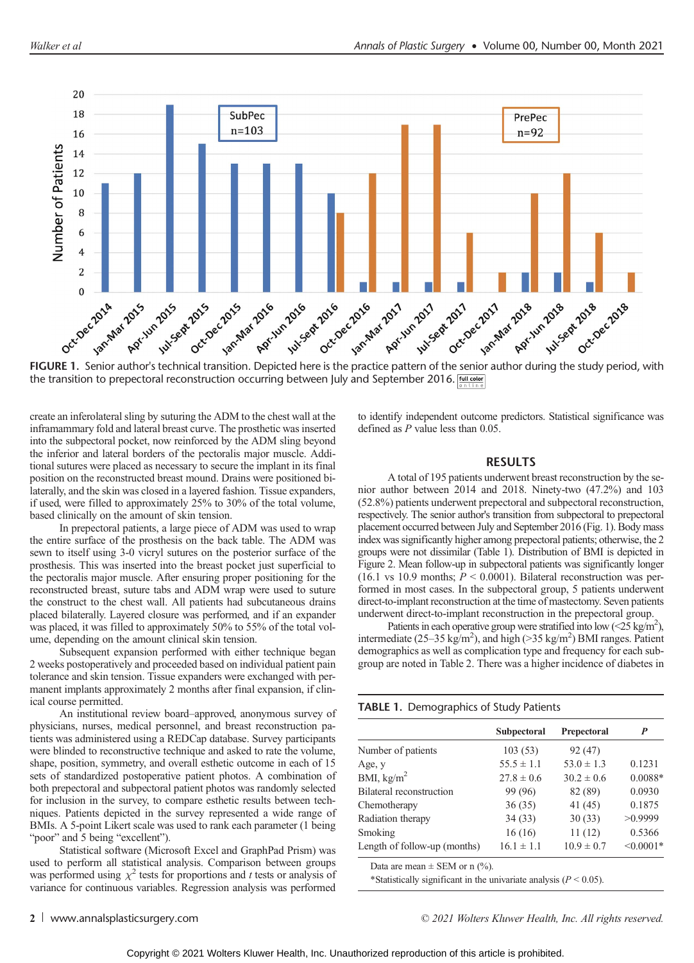

the transition to prepectoral reconstruction occurring between July and September 2016. [dilected]

create an inferolateral sling by suturing the ADM to the chest wall at the inframammary fold and lateral breast curve. The prosthetic was inserted into the subpectoral pocket, now reinforced by the ADM sling beyond the inferior and lateral borders of the pectoralis major muscle. Additional sutures were placed as necessary to secure the implant in its final position on the reconstructed breast mound. Drains were positioned bilaterally, and the skin was closed in a layered fashion. Tissue expanders, if used, were filled to approximately 25% to 30% of the total volume, based clinically on the amount of skin tension.

In prepectoral patients, a large piece of ADM was used to wrap the entire surface of the prosthesis on the back table. The ADM was sewn to itself using 3-0 vicryl sutures on the posterior surface of the prosthesis. This was inserted into the breast pocket just superficial to the pectoralis major muscle. After ensuring proper positioning for the reconstructed breast, suture tabs and ADM wrap were used to suture the construct to the chest wall. All patients had subcutaneous drains placed bilaterally. Layered closure was performed, and if an expander was placed, it was filled to approximately 50% to 55% of the total volume, depending on the amount clinical skin tension.

Subsequent expansion performed with either technique began 2 weeks postoperatively and proceeded based on individual patient pain tolerance and skin tension. Tissue expanders were exchanged with permanent implants approximately 2 months after final expansion, if clinical course permitted.

An institutional review board–approved, anonymous survey of physicians, nurses, medical personnel, and breast reconstruction patients was administered using a REDCap database. Survey participants were blinded to reconstructive technique and asked to rate the volume, shape, position, symmetry, and overall esthetic outcome in each of 15 sets of standardized postoperative patient photos. A combination of both prepectoral and subpectoral patient photos was randomly selected for inclusion in the survey, to compare esthetic results between techniques. Patients depicted in the survey represented a wide range of BMIs. A 5-point Likert scale was used to rank each parameter (1 being "poor" and 5 being "excellent").

Statistical software (Microsoft Excel and GraphPad Prism) was used to perform all statistical analysis. Comparison between groups was performed using  $\chi^2$  tests for proportions and t tests or analysis of variance for continuous variables. Regression analysis was performed to identify independent outcome predictors. Statistical significance was defined as P value less than 0.05.

# RESULTS

A total of 195 patients underwent breast reconstruction by the senior author between 2014 and 2018. Ninety-two (47.2%) and 103 (52.8%) patients underwent prepectoral and subpectoral reconstruction, respectively. The senior author's transition from subpectoral to prepectoral placement occurred between July and September 2016 (Fig. 1). Body mass index was significantly higher among prepectoral patients; otherwise, the 2 groups were not dissimilar (Table 1). Distribution of BMI is depicted in Figure 2. Mean follow-up in subpectoral patients was significantly longer (16.1 vs 10.9 months;  $P \le 0.0001$ ). Bilateral reconstruction was performed in most cases. In the subpectoral group, 5 patients underwent direct-to-implant reconstruction at the time of mastectomy. Seven patients underwent direct-to-implant reconstruction in the prepectoral group.

Patients in each operative group were stratified into low (<25 kg/m<sup>2</sup>), intermediate (25–35 kg/m<sup>2</sup>), and high (>35 kg/m<sup>2</sup>) BMI ranges. Patient demographics as well as complication type and frequency for each subgroup are noted in Table 2. There was a higher incidence of diabetes in

### TABLE 1. Demographics of Study Patients

|                              | Subpectoral    | Prepectoral    | P           |
|------------------------------|----------------|----------------|-------------|
|                              |                |                |             |
| Number of patients           | 103(53)        | 92(47)         |             |
| Age, y                       | $55.5 \pm 1.1$ | $53.0 \pm 1.3$ | 0.1231      |
| BMI, $\text{kg/m}^2$         | $27.8 \pm 0.6$ | $30.2 \pm 0.6$ | $0.0088*$   |
| Bilateral reconstruction     | 99 (96)        | 82 (89)        | 0.0930      |
| Chemotherapy                 | 36(35)         | 41(45)         | 0.1875      |
| Radiation therapy            | 34(33)         | 30(33)         | >0.9999     |
| Smoking                      | 16(16)         | 11(12)         | 0.5366      |
| Length of follow-up (months) | $16.1 \pm 1.1$ | $10.9 \pm 0.7$ | $< 0.0001*$ |

Data are mean  $\pm$  SEM or n (%).

\*Statistically significant in the univariate analysis  $(P < 0.05)$ .

2 [www.annalsplasticsurgery.com](http://www.annalsplasticsurgery.com) example and the community  $\degree$  2021 Wolters Kluwer Health, Inc. All rights reserved.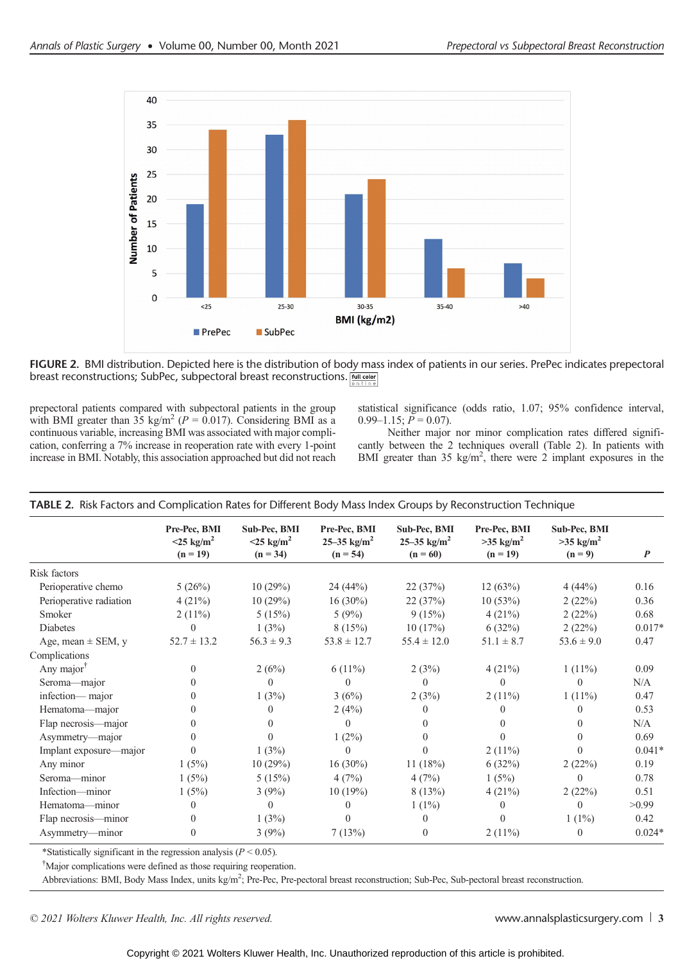

FIGURE 2. BMI distribution. Depicted here is the distribution of body mass index of patients in our series. PrePec indicates prepectoral breast reconstructions; SubPec, subpectoral breast reconstructions. *[MIL CODE*]

prepectoral patients compared with subpectoral patients in the group with BMI greater than 35 kg/m<sup>2</sup> ( $P = 0.017$ ). Considering BMI as a continuous variable, increasing BMI was associated with major complication, conferring a 7% increase in reoperation rate with every 1-point increase in BMI. Notably, this association approached but did not reach

statistical significance (odds ratio, 1.07; 95% confidence interval,  $0.99-1.15$ ;  $P = 0.07$ ).

Neither major nor minor complication rates differed significantly between the 2 techniques overall (Table 2). In patients with BMI greater than 35 kg/m<sup>2</sup>, there were 2 implant exposures in the

|                         | Pre-Pec, BMI                           | Sub-Pec, BMI                           | Pre-Pec, BMI                 | Sub-Pec, BMI                        | Pre-Pec, BMI                          | Sub-Pec, BMI                       |                  |
|-------------------------|----------------------------------------|----------------------------------------|------------------------------|-------------------------------------|---------------------------------------|------------------------------------|------------------|
|                         | $<$ 25 kg/m <sup>2</sup><br>$(n = 19)$ | $<$ 25 kg/m <sup>2</sup><br>$(n = 34)$ | 25–35 $kg/m^2$<br>$(n = 54)$ | 25–35 $\text{kg/m}^2$<br>$(n = 60)$ | $>35$ kg/m <sup>2</sup><br>$(n = 19)$ | $>35$ kg/m <sup>2</sup><br>$(n=9)$ | $\boldsymbol{P}$ |
| Risk factors            |                                        |                                        |                              |                                     |                                       |                                    |                  |
| Perioperative chemo     | 5(26%)                                 | 10(29%)                                | 24(44%)                      | 22 (37%)                            | 12(63%)                               | 4(44%)                             | 0.16             |
| Perioperative radiation | 4(21%)                                 | 10(29%)                                | $16(30\%)$                   | 22(37%)                             | 10(53%)                               | 2(22%)                             | 0.36             |
| Smoker                  | $2(11\%)$                              | 5(15%)                                 | 5(9%)                        | 9(15%)                              | 4(21%)                                | 2(22%)                             | 0.68             |
| <b>Diabetes</b>         | $\Omega$                               | 1(3%)                                  | 8(15%)                       | 10(17%)                             | 6(32%)                                | 2(22%)                             | $0.017*$         |
| Age, mean $\pm$ SEM, y  | $52.7 \pm 13.2$                        | $56.3 \pm 9.3$                         | $53.8 \pm 12.7$              | $55.4 \pm 12.0$                     | $51.1 \pm 8.7$                        | $53.6 \pm 9.0$                     | 0.47             |
| Complications           |                                        |                                        |                              |                                     |                                       |                                    |                  |
| Any major $T$           | $\Omega$                               | 2(6%)                                  | $6(11\%)$                    | 2(3%)                               | 4(21%)                                | $1(11\%)$                          | 0.09             |
| Seroma-major            | $\Omega$                               | $\theta$                               | $\Omega$                     | $\theta$                            | 0                                     | $\Omega$                           | N/A              |
| infection-major         | $\Omega$                               | 1(3%)                                  | 3(6%)                        | 2(3%)                               | $2(11\%)$                             | $1(11\%)$                          | 0.47             |
| Hematoma-major          | $\Omega$                               | $\theta$                               | 2(4%)                        | 0                                   | 0                                     | $\Omega$                           | 0.53             |
| Flap necrosis—major     | 0                                      | $\left($                               | $\Omega$                     | $\theta$                            | 0                                     | $\Omega$                           | N/A              |
| Asymmetry—major         | 0                                      | $\Omega$                               | $1(2\%)$                     | $\Omega$                            | $\Omega$                              | $\Omega$                           | 0.69             |
| Implant exposure—major  | 0                                      | 1(3%)                                  | $\Omega$                     | $\Omega$                            | $2(11\%)$                             | $\Omega$                           | $0.041*$         |
| Any minor               | 1(5%)                                  | 10(29%)                                | $16(30\%)$                   | 11 $(18%)$                          | 6(32%)                                | 2(22%)                             | 0.19             |
| Seroma-minor            | 1(5%)                                  | 5(15%)                                 | 4(7%)                        | 4(7%)                               | 1(5%)                                 | $\Omega$                           | 0.78             |
| Infection-minor         | 1(5%)                                  | 3(9%)                                  | 10(19%)                      | 8(13%)                              | 4(21%)                                | 2(22%)                             | 0.51             |
| Hematoma-minor          | $\Omega$                               | $\overline{0}$                         | $\theta$                     | $1(1\%)$                            | $\left($                              | $\theta$                           | >0.99            |
| Flap necrosis—minor     | $\Omega$                               | 1(3%)                                  | $\Omega$                     | $\theta$                            | $\Omega$                              | $1(1\%)$                           | 0.42             |
| Asymmetry—minor         | $\Omega$                               | 3(9%)                                  | 7(13%)                       | $\Omega$                            | $2(11\%)$                             | $\left($                           | $0.024*$         |

TABLE 2. Risk Factors and Complication Rates for Different Body Mass Index Groups by Reconstruction Technique

\*Statistically significant in the regression analysis ( $P < 0.05$ ).

† Major complications were defined as those requiring reoperation.

Abbreviations: BMI, Body Mass Index, units kg/m<sup>2</sup>; Pre-Pec, Pre-pectoral breast reconstruction; Sub-Pec, Sub-pectoral breast reconstruction.

© 2021 Wolters Kluwer Health, Inc. All rights reserved. We are not all reserved to the served [www.annalsplasticsurgery.com](http://www.annalsplasticsurgery.com) 3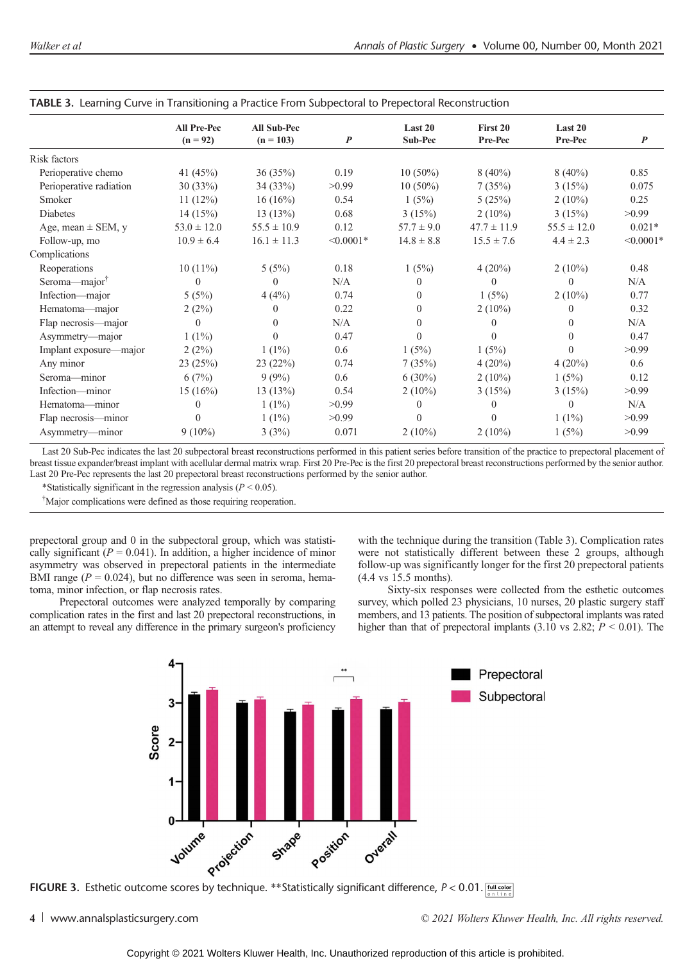|                           | All Pre-Pec     | <b>All Sub-Pec</b> |                  | Last 20        | First 20        | Last 20         |                  |
|---------------------------|-----------------|--------------------|------------------|----------------|-----------------|-----------------|------------------|
|                           | $(n = 92)$      | $(n = 103)$        | $\boldsymbol{P}$ | <b>Sub-Pec</b> | Pre-Pec         | Pre-Pec         | $\boldsymbol{P}$ |
| Risk factors              |                 |                    |                  |                |                 |                 |                  |
| Perioperative chemo       | 41 (45%)        | 36(35%)            | 0.19             | $10(50\%)$     | $8(40\%)$       | $8(40\%)$       | 0.85             |
| Perioperative radiation   | 30(33%)         | 34(33%)            | >0.99            | $10(50\%)$     | 7(35%)          | 3(15%)          | 0.075            |
| Smoker                    | 11(12%)         | $16(16\%)$         | 0.54             | 1(5%)          | 5(25%)          | $2(10\%)$       | 0.25             |
| Diabetes                  | 14(15%)         | 13(13%)            | 0.68             | 3(15%)         | $2(10\%)$       | 3(15%)          | >0.99            |
| Age, mean $\pm$ SEM, y    | $53.0 \pm 12.0$ | $55.5 \pm 10.9$    | 0.12             | $57.7 \pm 9.0$ | $47.7 \pm 11.9$ | $55.5 \pm 12.0$ | $0.021*$         |
| Follow-up, mo             | $10.9 \pm 6.4$  | $16.1 \pm 11.3$    | $< 0.0001*$      | $14.8 \pm 8.8$ | $15.5 \pm 7.6$  | $4.4 \pm 2.3$   | $< 0.0001*$      |
| Complications             |                 |                    |                  |                |                 |                 |                  |
| Reoperations              | $10(11\%)$      | 5(5%)              | 0.18             | 1(5%)          | $4(20\%)$       | $2(10\%)$       | 0.48             |
| Seroma-major <sup>†</sup> | $\Omega$        | $\Omega$           | N/A              | $\left($       | $\Omega$        | $\Omega$        | N/A              |
| Infection-major           | 5(5%)           | 4(4%)              | 0.74             | $\Omega$       | 1(5%)           | $2(10\%)$       | 0.77             |
| Hematoma-major            | 2(2%)           | 0                  | 0.22             | $\Omega$       | $2(10\%)$       | $\theta$        | 0.32             |
| Flap necrosis—major       | $\Omega$        | $\Omega$           | N/A              | $\Omega$       | 0               | $\Omega$        | N/A              |
| Asymmetry—major           | $1(1\%)$        | $\Omega$           | 0.47             | $\Omega$       | $\Omega$        | $\Omega$        | 0.47             |
| Implant exposure—major    | 2(2%)           | $1(1\%)$           | 0.6              | 1(5%)          | 1(5%)           | $\Omega$        | >0.99            |
| Any minor                 | 23(25%)         | 23(22%)            | 0.74             | 7(35%)         | $4(20\%)$       | $4(20\%)$       | 0.6              |
| Seroma—minor              | 6(7%)           | 9(9%)              | 0.6              | $6(30\%)$      | $2(10\%)$       | 1(5%)           | 0.12             |
| Infection-minor           | 15(16%)         | 13(13%)            | 0.54             | $2(10\%)$      | 3(15%)          | 3(15%)          | >0.99            |
| Hematoma-minor            | $\Omega$        | $1(1\%)$           | >0.99            | $\Omega$       | $\Omega$        | $\Omega$        | N/A              |
| Flap necrosis-minor       | $\Omega$        | $1(1\%)$           | >0.99            | $\Omega$       | $\Omega$        | $1(1\%)$        | >0.99            |
| Asymmetry-minor           | $9(10\%)$       | 3(3%)              | 0.071            | $2(10\%)$      | $2(10\%)$       | 1(5%)           | >0.99            |
|                           |                 |                    |                  |                |                 |                 |                  |

|  |  |  |  | TABLE 3. Learning Curve in Transitioning a Practice From Subpectoral to Prepectoral Reconstruction |
|--|--|--|--|----------------------------------------------------------------------------------------------------|
|  |  |  |  |                                                                                                    |

Last 20 Sub-Pec indicates the last 20 subpectoral breast reconstructions performed in this patient series before transition of the practice to prepectoral placement of breast tissue expander/breast implant with acellular dermal matrix wrap. First 20 Pre-Pec is the first 20 prepectoral breast reconstructions performed by the senior author. Last 20 Pre-Pec represents the last 20 prepectoral breast reconstructions performed by the senior author.

\*Statistically significant in the regression analysis ( $P < 0.05$ ).

† Major complications were defined as those requiring reoperation.

prepectoral group and 0 in the subpectoral group, which was statistically significant ( $P = 0.041$ ). In addition, a higher incidence of minor asymmetry was observed in prepectoral patients in the intermediate BMI range ( $P = 0.024$ ), but no difference was seen in seroma, hematoma, minor infection, or flap necrosis rates.

Prepectoral outcomes were analyzed temporally by comparing complication rates in the first and last 20 prepectoral reconstructions, in an attempt to reveal any difference in the primary surgeon's proficiency

with the technique during the transition (Table 3). Complication rates were not statistically different between these 2 groups, although follow-up was significantly longer for the first 20 prepectoral patients (4.4 vs 15.5 months).

Sixty-six responses were collected from the esthetic outcomes survey, which polled 23 physicians, 10 nurses, 20 plastic surgery staff members, and 13 patients. The position of subpectoral implants was rated higher than that of prepectoral implants (3.10 vs 2.82;  $P < 0.01$ ). The



Copyright © 2021 Wolters Kluwer Health, Inc. Unauthorized reproduction of this article is prohibited.

<sup>4</sup> [www.annalsplasticsurgery.com](http://www.annalsplasticsurgery.com) example and the community  $\degree$  2021 Wolters Kluwer Health, Inc. All rights reserved.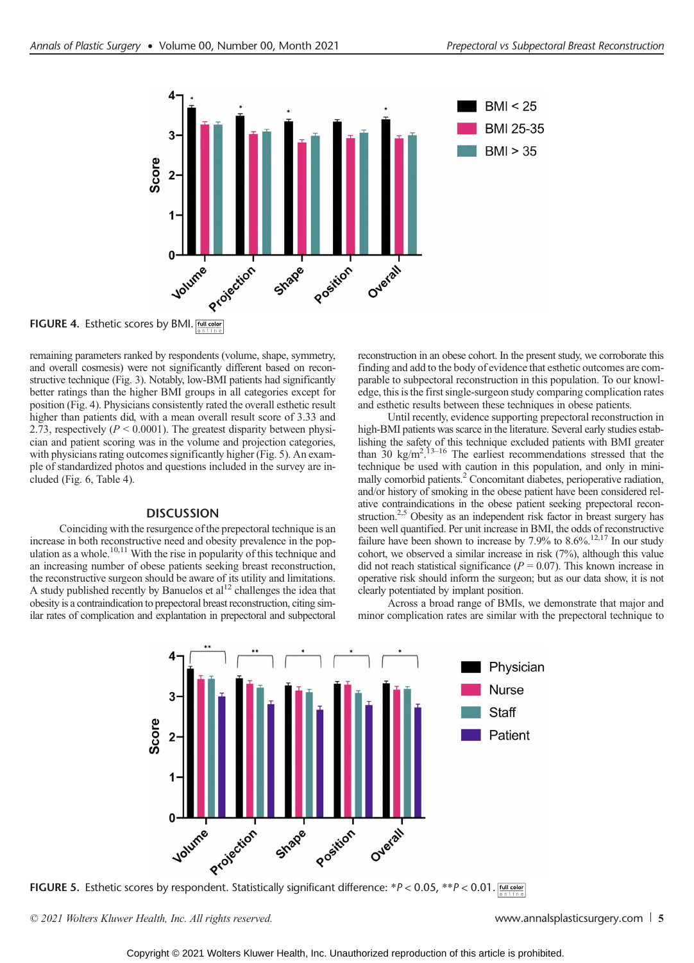

FIGURE 4. Esthetic scores by BMI. [full color

remaining parameters ranked by respondents (volume, shape, symmetry, and overall cosmesis) were not significantly different based on reconstructive technique (Fig. 3). Notably, low-BMI patients had significantly better ratings than the higher BMI groups in all categories except for position (Fig. 4). Physicians consistently rated the overall esthetic result higher than patients did, with a mean overall result score of 3.33 and 2.73, respectively ( $P \le 0.0001$ ). The greatest disparity between physician and patient scoring was in the volume and projection categories, with physicians rating outcomes significantly higher (Fig. 5). An example of standardized photos and questions included in the survey are included (Fig. 6, Table 4).

# **DISCUSSION**

Coinciding with the resurgence of the prepectoral technique is an increase in both reconstructive need and obesity prevalence in the population as a whole.<sup>10,11</sup> With the rise in popularity of this technique and an increasing number of obese patients seeking breast reconstruction, the reconstructive surgeon should be aware of its utility and limitations. A study published recently by Banuelos et  $al<sup>12</sup>$  challenges the idea that obesity is a contraindication to prepectoral breast reconstruction, citing similar rates of complication and explantation in prepectoral and subpectoral reconstruction in an obese cohort. In the present study, we corroborate this finding and add to the body of evidence that esthetic outcomes are comparable to subpectoral reconstruction in this population. To our knowledge, this is the first single-surgeon study comparing complication rates and esthetic results between these techniques in obese patients.

Until recently, evidence supporting prepectoral reconstruction in high-BMI patients was scarce in the literature. Several early studies establishing the safety of this technique excluded patients with BMI greater than  $30 \text{ kg/m}^2$ .  $13-16$  The earliest recommendations stressed that the technique be used with caution in this population, and only in minimally comorbid patients.2 Concomitant diabetes, perioperative radiation, and/or history of smoking in the obese patient have been considered relative contraindications in the obese patient seeking prepectoral reconstruction.<sup>2,5</sup> Obesity as an independent risk factor in breast surgery has been well quantified. Per unit increase in BMI, the odds of reconstructive failure have been shown to increase by  $7.9\%$  to  $8.6\%$ .<sup>12,17</sup> In our study cohort, we observed a similar increase in risk (7%), although this value did not reach statistical significance ( $P = 0.07$ ). This known increase in operative risk should inform the surgeon; but as our data show, it is not clearly potentiated by implant position.

Across a broad range of BMIs, we demonstrate that major and minor complication rates are similar with the prepectoral technique to



© 2021 Wolters Kluwer Health, Inc. All rights reserved. [www.annalsplasticsurgery.com](http://www.annalsplasticsurgery.com) 5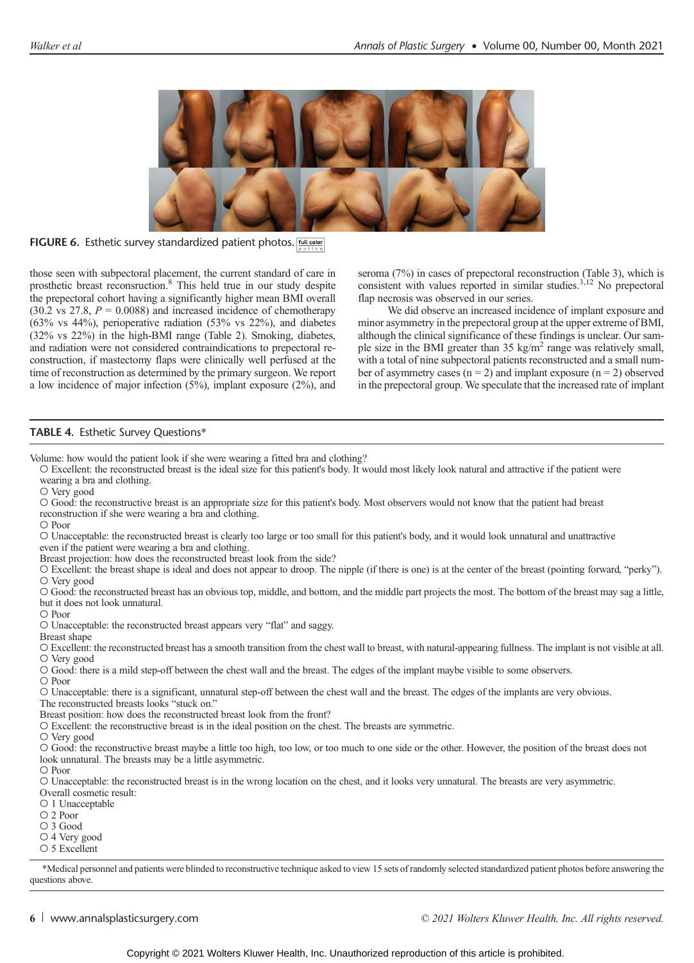

FIGURE 6. Esthetic survey standardized patient photos. Full color

those seen with subpectoral placement, the current standard of care in prosthetic breast reconsruction.8 This held true in our study despite the prepectoral cohort having a significantly higher mean BMI overall  $(30.2 \text{ vs } 27.8, P = 0.0088)$  and increased incidence of chemotherapy (63% vs 44%), perioperative radiation (53% vs 22%), and diabetes (32% vs 22%) in the high-BMI range (Table 2). Smoking, diabetes, and radiation were not considered contraindications to prepectoral reconstruction, if mastectomy flaps were clinically well perfused at the time of reconstruction as determined by the primary surgeon. We report a low incidence of major infection (5%), implant exposure (2%), and seroma (7%) in cases of prepectoral reconstruction (Table 3), which is consistent with values reported in similar studies.<sup>3,12</sup> No prepectoral flap necrosis was observed in our series.

We did observe an increased incidence of implant exposure and minor asymmetry in the prepectoral group at the upper extreme of BMI, although the clinical significance of these findings is unclear. Our sample size in the BMI greater than  $35 \text{ kg/m}^2$  range was relatively small, with a total of nine subpectoral patients reconstructed and a small number of asymmetry cases  $(n = 2)$  and implant exposure  $(n = 2)$  observed in the prepectoral group. We speculate that the increased rate of implant

# TABLE 4. Esthetic Survey Questions\*

Volume: how would the patient look if she were wearing a fitted bra and clothing?

○ Excellent: the reconstructed breast is the ideal size for this patient's body. It would most likely look natural and attractive if the patient were wearing a bra and clothing.

○ Very good

○ Good: the reconstructive breast is an appropriate size for this patient's body. Most observers would not know that the patient had breast reconstruction if she were wearing a bra and clothing.

○ Poor

○ Unacceptable: the reconstructed breast is clearly too large or too small for this patient's body, and it would look unnatural and unattractive even if the patient were wearing a bra and clothing.

Breast projection: how does the reconstructed breast look from the side?

○ Excellent: the breast shape is ideal and does not appear to droop. The nipple (if there is one) is at the center of the breast (pointing forward, "perky"). ○ Very good

○ Good: the reconstructed breast has an obvious top, middle, and bottom, and the middle part projects the most. The bottom of the breast may sag a little, but it does not look unnatural.

○ Poor

○ Unacceptable: the reconstructed breast appears very "flat" and saggy.

Breast shape

○ Excellent: the reconstructed breast has a smooth transition from the chest wall to breast, with natural-appearing fullness. The implant is not visible at all. ○ Very good

○ Good: there is a mild step-off between the chest wall and the breast. The edges of the implant maybe visible to some observers.

○ Poor

○ Unacceptable: there is a significant, unnatural step-off between the chest wall and the breast. The edges of the implants are very obvious.

The reconstructed breasts looks "stuck on."

Breast position: how does the reconstructed breast look from the front?

○ Excellent: the reconstructive breast is in the ideal position on the chest. The breasts are symmetric.

○ Very good

○ Good: the reconstructive breast maybe a little too high, too low, or too much to one side or the other. However, the position of the breast does not look unnatural. The breasts may be a little asymmetric.

○ Poor

○ Unacceptable: the reconstructed breast is in the wrong location on the chest, and it looks very unnatural. The breasts are very asymmetric.

Overall cosmetic result:

○ 1 Unacceptable

○ 2 Poor

○ 3 Good

○ 4 Very good

○ 5 Excellent

\*Medical personnel and patients were blinded to reconstructive technique asked to view 15 sets of randomly selected standardized patient photos before answering the questions above.

6 [www.annalsplasticsurgery.com](http://www.annalsplasticsurgery.com) example of the community  $\odot$  2021 Wolters Kluwer Health, Inc. All rights reserved.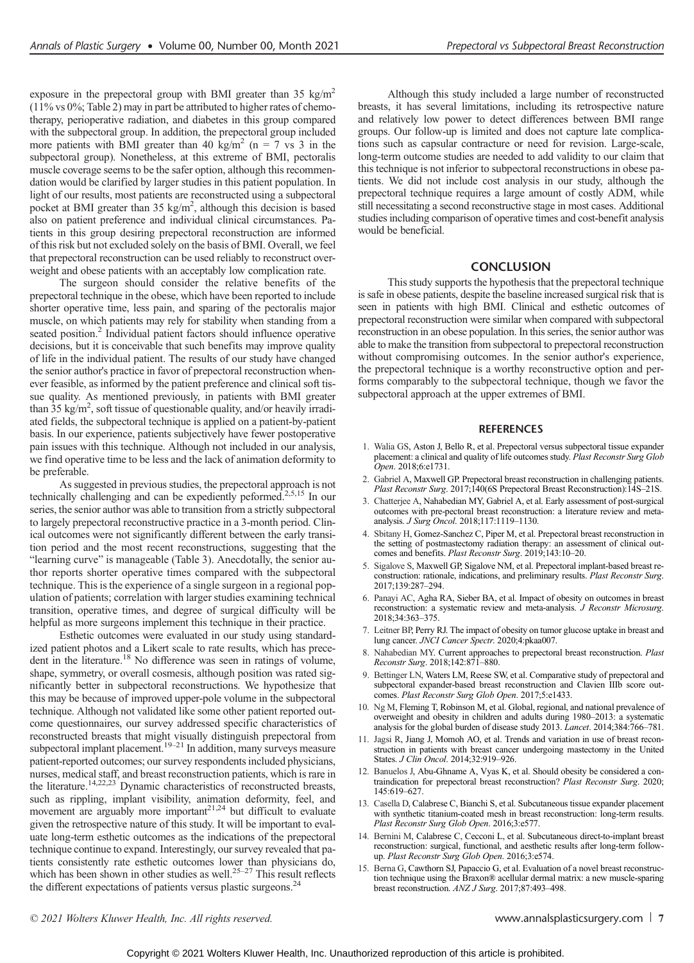exposure in the prepectoral group with BMI greater than 35 kg/m2 (11% vs 0%; Table 2) may in part be attributed to higher rates of chemotherapy, perioperative radiation, and diabetes in this group compared with the subpectoral group. In addition, the prepectoral group included more patients with BMI greater than 40 kg/m<sup>2</sup> (n = 7 vs 3 in the subpectoral group). Nonetheless, at this extreme of BMI, pectoralis muscle coverage seems to be the safer option, although this recommendation would be clarified by larger studies in this patient population. In light of our results, most patients are reconstructed using a subpectoral pocket at BMI greater than 35 kg/m<sup>2</sup>, although this decision is based also on patient preference and individual clinical circumstances. Patients in this group desiring prepectoral reconstruction are informed of this risk but not excluded solely on the basis of BMI. Overall, we feel that prepectoral reconstruction can be used reliably to reconstruct overweight and obese patients with an acceptably low complication rate.

The surgeon should consider the relative benefits of the prepectoral technique in the obese, which have been reported to include shorter operative time, less pain, and sparing of the pectoralis major muscle, on which patients may rely for stability when standing from a seated position.<sup>2</sup> Individual patient factors should influence operative decisions, but it is conceivable that such benefits may improve quality of life in the individual patient. The results of our study have changed the senior author's practice in favor of prepectoral reconstruction whenever feasible, as informed by the patient preference and clinical soft tissue quality. As mentioned previously, in patients with BMI greater than  $35 \text{ kg/m}^2$ , soft tissue of questionable quality, and/or heavily irradiated fields, the subpectoral technique is applied on a patient-by-patient basis. In our experience, patients subjectively have fewer postoperative pain issues with this technique. Although not included in our analysis, we find operative time to be less and the lack of animation deformity to be preferable.

As suggested in previous studies, the prepectoral approach is not technically challenging and can be expediently peformed.<sup>2,5,15</sup> In our series, the senior author was able to transition from a strictly subpectoral to largely prepectoral reconstructive practice in a 3-month period. Clinical outcomes were not significantly different between the early transition period and the most recent reconstructions, suggesting that the "learning curve" is manageable (Table 3). Anecdotally, the senior author reports shorter operative times compared with the subpectoral technique. This is the experience of a single surgeon in a regional population of patients; correlation with larger studies examining technical transition, operative times, and degree of surgical difficulty will be helpful as more surgeons implement this technique in their practice.

Esthetic outcomes were evaluated in our study using standardized patient photos and a Likert scale to rate results, which has precedent in the literature.<sup>18</sup> No difference was seen in ratings of volume, shape, symmetry, or overall cosmesis, although position was rated significantly better in subpectoral reconstructions. We hypothesize that this may be because of improved upper-pole volume in the subpectoral technique. Although not validated like some other patient reported outcome questionnaires, our survey addressed specific characteristics of reconstructed breasts that might visually distinguish prepectoral from subpectoral implant placement.<sup>19–21</sup> In addition, many surveys measure patient-reported outcomes; our survey respondents included physicians, nurses, medical staff, and breast reconstruction patients, which is rare in the literature.<sup>14,22,23</sup> Dynamic characteristics of reconstructed breasts, such as rippling, implant visibility, animation deformity, feel, and movement are arguably more important<sup>21,24</sup> but difficult to evaluate given the retrospective nature of this study. It will be important to evaluate long-term esthetic outcomes as the indications of the prepectoral technique continue to expand. Interestingly, our survey revealed that patients consistently rate esthetic outcomes lower than physicians do, which has been shown in other studies as well.<sup>25–27</sup> This result reflects the different expectations of patients versus plastic surgeons.<sup>24</sup>

Although this study included a large number of reconstructed breasts, it has several limitations, including its retrospective nature and relatively low power to detect differences between BMI range groups. Our follow-up is limited and does not capture late complications such as capsular contracture or need for revision. Large-scale, long-term outcome studies are needed to add validity to our claim that this technique is not inferior to subpectoral reconstructions in obese patients. We did not include cost analysis in our study, although the prepectoral technique requires a large amount of costly ADM, while still necessitating a second reconstructive stage in most cases. Additional studies including comparison of operative times and cost-benefit analysis would be beneficial.

# **CONCLUSION**

This study supports the hypothesis that the prepectoral technique is safe in obese patients, despite the baseline increased surgical risk that is seen in patients with high BMI. Clinical and esthetic outcomes of prepectoral reconstruction were similar when compared with subpectoral reconstruction in an obese population. In this series, the senior author was able to make the transition from subpectoral to prepectoral reconstruction without compromising outcomes. In the senior author's experience, the prepectoral technique is a worthy reconstructive option and performs comparably to the subpectoral technique, though we favor the subpectoral approach at the upper extremes of BMI.

### **REFERENCES**

- 1. Walia GS, Aston J, Bello R, et al. Prepectoral versus subpectoral tissue expander placement: a clinical and quality of life outcomes study. Plast Reconstr Surg Glob Open. 2018;6:e1731.
- 2. Gabriel A, Maxwell GP. Prepectoral breast reconstruction in challenging patients. Plast Reconstr Surg. 2017;140(6S Prepectoral Breast Reconstruction):14S-21S.
- 3. Chatterjee A, Nahabedian MY, Gabriel A, et al. Early assessment of post-surgical outcomes with pre-pectoral breast reconstruction: a literature review and metaanalysis. J Surg Oncol. 2018;117:1119–1130.
- 4. Sbitany H, Gomez-Sanchez C, Piper M, et al. Prepectoral breast reconstruction in the setting of postmastectomy radiation therapy: an assessment of clinical out-<br>comes and benefits. Plast Reconstr Surg. 2019;143:10-20.
- 5. Sigalove S, Maxwell GP, Sigalove NM, et al. Prepectoral implant-based breast reconstruction: rationale, indications, and preliminary results. Plast Reconstr Surg. 2017;139:287–294.
- 6. Panayi AC, Agha RA, Sieber BA, et al. Impact of obesity on outcomes in breast reconstruction: a systematic review and meta-analysis. J Reconstr Microsurg. 2018;34:363–375.
- 7. Leitner BP, Perry RJ. The impact of obesity on tumor glucose uptake in breast and lung cancer. JNCI Cancer Spectr. 2020;4:pkaa007.
- Nahabedian MY. Current approaches to prepectoral breast reconstruction. Plast Reconstr Surg. 2018;142:871–880.
- 9. Bettinger LN, Waters LM, Reese SW, et al. Comparative study of prepectoral and subpectoral expander-based breast reconstruction and Clavien IIIb score outcomes. Plast Reconstr Surg Glob Open. 2017;5:e1433.
- 10. Ng M, Fleming T, Robinson M, et al. Global, regional, and national prevalence of overweight and obesity in children and adults during 1980–2013: a systematic analysis for the global burden of disease study 2013. Lancet. 2014;384:766–781.
- 11. Jagsi R, Jiang J, Momoh AO, et al. Trends and variation in use of breast reconstruction in patients with breast cancer undergoing mastectomy in the United States. J Clin Oncol. 2014;32:919–926.
- 12. Banuelos J, Abu-Ghname A, Vyas K, et al. Should obesity be considered a contraindication for prepectoral breast reconstruction? Plast Reconstr Surg. 2020; 145:619–627.
- 13. Casella D, Calabrese C, Bianchi S, et al. Subcutaneous tissue expander placement with synthetic titanium-coated mesh in breast reconstruction: long-term results. Plast Reconstr Surg Glob Open. 2016;3:e577.
- 14. Bernini M, Calabrese C, Cecconi L, et al. Subcutaneous direct-to-implant breast reconstruction: surgical, functional, and aesthetic results after long-term followup. Plast Reconstr Surg Glob Open. 2016;3:e574.
- 15. Berna G, Cawthorn SJ, Papaccio G, et al. Evaluation of a novel breast reconstruction technique using the Braxon® acellular dermal matrix: a new muscle-sparing breast reconstruction. ANZ J Surg. 2017;87:493–498.

© 2021 Wolters Kluwer Health, Inc. All rights reserved. We are the control of the state of the [www.annalsplasticsurgery.com](http://www.annalsplasticsurgery.com) | 7